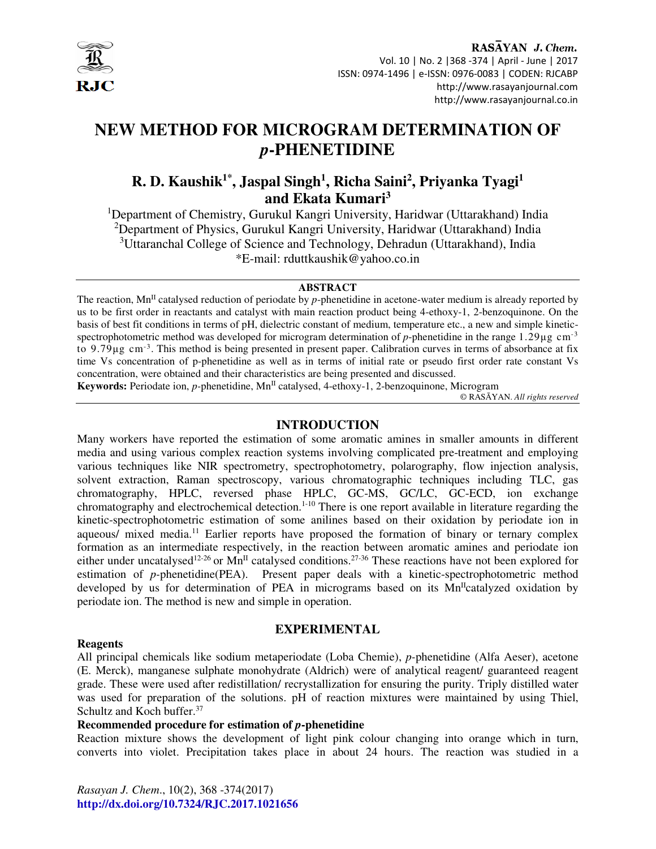

# RASAYAN J. Chem. Vol. 10 | No. 2 |368 -374 | April - June | 2017 ISSN: 0974-1496 | e-ISSN: 0976-0083 | CODEN: RJCABP http://www.rasayanjournal.com http://www.rasayanjournal.co.in

# **NEW METHOD FOR MICROGRAM DETERMINATION OF**  *p***-PHENETIDINE**

# **R. D. Kaushik1\*, Jaspal Singh<sup>1</sup> , Richa Saini<sup>2</sup> , Priyanka Tyagi<sup>1</sup> and Ekata Kumari<sup>3</sup>**

<sup>1</sup>Department of Chemistry, Gurukul Kangri University, Haridwar (Uttarakhand) India <sup>2</sup>Department of Physics, Gurukul Kangri University, Haridwar (Uttarakhand) India <sup>3</sup>Uttaranchal College of Science and Technology, Dehradun (Uttarakhand), India \*E-mail: rduttkaushik@yahoo.co.in

#### **ABSTRACT**

The reaction,  $Mn<sup>H</sup>$  catalysed reduction of periodate by *p*-phenetidine in acetone-water medium is already reported by us to be first order in reactants and catalyst with main reaction product being 4-ethoxy-1, 2-benzoquinone. On the basis of best fit conditions in terms of pH, dielectric constant of medium, temperature etc., a new and simple kineticspectrophotometric method was developed for microgram determination of *p*-phenetidine in the range 1.29µg cm<sup>-3</sup> to 9.79µg cm-3. This method is being presented in present paper. Calibration curves in terms of absorbance at fix time Vs concentration of p-phenetidine as well as in terms of initial rate or pseudo first order rate constant Vs concentration, were obtained and their characteristics are being presented and discussed. **Keywords:** Periodate ion, *p-*phenetidine, MnII catalysed, 4-ethoxy-1, 2-benzoquinone, Microgram

© RASĀYAN. *All rights reserved*

#### **INTRODUCTION**

Many workers have reported the estimation of some aromatic amines in smaller amounts in different media and using various complex reaction systems involving complicated pre-treatment and employing various techniques like NIR spectrometry, spectrophotometry, polarography, flow injection analysis, solvent extraction, Raman spectroscopy, various chromatographic techniques including TLC, gas chromatography, HPLC, reversed phase HPLC, GC-MS, GC/LC, GC-ECD, ion exchange chromatography and electrochemical detection.<sup>1-10</sup> There is one report available in literature regarding the kinetic-spectrophotometric estimation of some anilines based on their oxidation by periodate ion in aqueous/ mixed media.<sup>11</sup> Earlier reports have proposed the formation of binary or ternary complex formation as an intermediate respectively, in the reaction between aromatic amines and periodate ion either under uncatalysed<sup>12-26</sup> or  $Mn^{\text{II}}$  catalysed conditions.<sup>27-36</sup> These reactions have not been explored for estimation of *p-*phenetidine(PEA). Present paper deals with a kinetic-spectrophotometric method developed by us for determination of PEA in micrograms based on its  $Mn<sup>II</sup>$ catalyzed oxidation by periodate ion. The method is new and simple in operation.

#### **Reagents**

### **EXPERIMENTAL**

All principal chemicals like sodium metaperiodate (Loba Chemie), *p-*phenetidine (Alfa Aeser), acetone (E. Merck), manganese sulphate monohydrate (Aldrich) were of analytical reagent/ guaranteed reagent grade. These were used after redistillation/ recrystallization for ensuring the purity. Triply distilled water was used for preparation of the solutions. pH of reaction mixtures were maintained by using Thiel, Schultz and Koch buffer.<sup>37</sup>

### **Recommended procedure for estimation of** *p***-phenetidine**

Reaction mixture shows the development of light pink colour changing into orange which in turn, converts into violet. Precipitation takes place in about 24 hours. The reaction was studied in a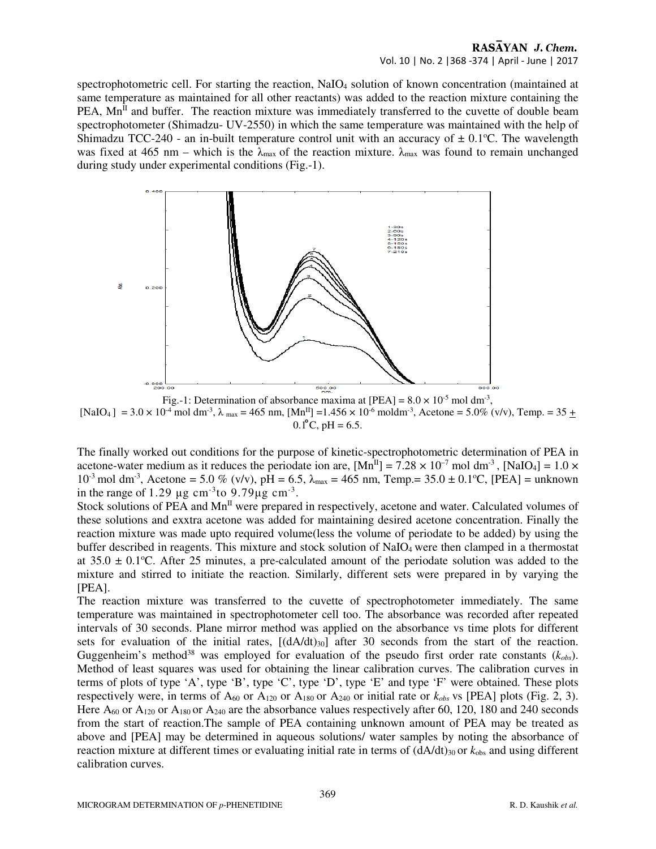### RASAYAN J. Chem. Vol. 10 | No. 2 |368 -374 | April - June | 2017

spectrophotometric cell. For starting the reaction, NaIO<sub>4</sub> solution of known concentration (maintained at same temperature as maintained for all other reactants) was added to the reaction mixture containing the  $PEA$ ,  $Mn^{\text{II}}$  and buffer. The reaction mixture was immediately transferred to the cuvette of double beam spectrophotometer (Shimadzu- UV-2550) in which the same temperature was maintained with the help of Shimadzu TCC-240 - an in-built temperature control unit with an accuracy of  $\pm$  0.1<sup>o</sup>C. The wavelength was fixed at 465 nm – which is the  $\lambda_{\text{max}}$  of the reaction mixture.  $\lambda_{\text{max}}$  was found to remain unchanged during study under experimental conditions (Fig.-1).



Fig.-1: Determination of absorbance maxima at  $[PEA] = 8.0 \times 10^{-5}$  mol dm<sup>-3</sup>, [NaIO<sub>4</sub>] = 3.0 × 10<sup>-4</sup> mol dm<sup>-3</sup>,  $\lambda$  <sub>max</sub> = 465 nm, [Mn<sup>II</sup>] = 1.456 × 10<sup>-6</sup> moldm<sup>-3</sup>, Acetone = 5.0% (v/v), Temp. = 35  $\pm$  $0.1^{\circ}$ C, pH = 6.5.

The finally worked out conditions for the purpose of kinetic-spectrophotometric determination of PEA in acetone-water medium as it reduces the periodate ion are,  $[Mn<sup>H</sup>] = 7.28 \times 10^{-7}$  mol dm<sup>-3</sup>, [NaIO<sub>4</sub>] = 1.0 ×  $10^{-3}$  mol dm<sup>-3</sup>, Acetone = 5.0 % (v/v), pH = 6.5,  $\lambda_{\text{max}}$  = 465 nm, Temp. = 35.0  $\pm$  0.1°C, [PEA] = unknown in the range of 1.29  $\mu$ g cm<sup>-3</sup>to 9.79 $\mu$ g cm<sup>-3</sup>.

Stock solutions of PEA and Mn<sup>II</sup> were prepared in respectively, acetone and water. Calculated volumes of these solutions and exxtra acetone was added for maintaining desired acetone concentration. Finally the reaction mixture was made upto required volume(less the volume of periodate to be added) by using the buffer described in reagents. This mixture and stock solution of NaIO4 were then clamped in a thermostat at  $35.0 \pm 0.1^{\circ}$ C. After 25 minutes, a pre-calculated amount of the periodate solution was added to the mixture and stirred to initiate the reaction. Similarly, different sets were prepared in by varying the [PEA].

The reaction mixture was transferred to the cuvette of spectrophotometer immediately. The same temperature was maintained in spectrophotometer cell too. The absorbance was recorded after repeated intervals of 30 seconds. Plane mirror method was applied on the absorbance vs time plots for different sets for evaluation of the initial rates,  $[(dA/dt)_{30}]$  after 30 seconds from the start of the reaction. Guggenheim's method<sup>38</sup> was employed for evaluation of the pseudo first order rate constants  $(k_{obs})$ . Method of least squares was used for obtaining the linear calibration curves. The calibration curves in terms of plots of type 'A', type 'B', type 'C', type 'D', type 'E' and type 'F' were obtained. These plots respectively were, in terms of  $A_{60}$  or  $A_{120}$  or  $A_{180}$  or  $A_{240}$  or initial rate or  $k_{obs}$  vs [PEA] plots (Fig. 2, 3). Here  $A_{60}$  or  $A_{120}$  or  $A_{180}$  or  $A_{240}$  are the absorbance values respectively after 60, 120, 180 and 240 seconds from the start of reaction.The sample of PEA containing unknown amount of PEA may be treated as above and [PEA] may be determined in aqueous solutions/ water samples by noting the absorbance of reaction mixture at different times or evaluating initial rate in terms of  $(dA/dt)_{30}$  or  $k_{obs}$  and using different calibration curves.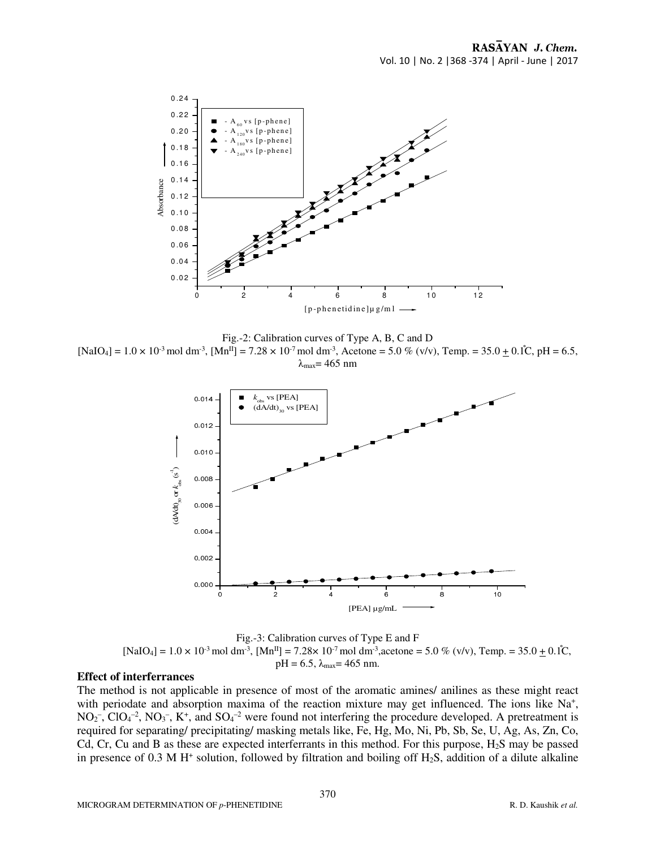

Fig.-2: Calibration curves of Type A, B, C and D  $[NaIO_4] = 1.0 \times 10^{-3}$  mol dm<sup>-3</sup>,  $[Mn^{II}] = 7.28 \times 10^{-7}$  mol dm<sup>-3</sup>, Acetone = 5.0 % (v/v), Temp. = 35.0  $\pm$  0.1°C, pH = 6.5,  $λ_{max} = 465$  nm



Fig.-3: Calibration curves of Type E and F  $[NaIO_4] = 1.0 \times 10^{-3}$  mol dm<sup>-3</sup>,  $[Mn<sup>H</sup>] = 7.28 \times 10^{-7}$  mol dm<sup>-3</sup>, acetone = 5.0 % (v/v), Temp. = 35.0  $\pm$  0.1°C,  $pH = 6.5$ ,  $\lambda_{max} = 465$  nm.

# **Effect of interferrances**

The method is not applicable in presence of most of the aromatic amines/ anilines as these might react with periodate and absorption maxima of the reaction mixture may get influenced. The ions like Na<sup>+</sup>,  $NO<sub>2</sub>^-$ ,  $ClO<sub>4</sub>^{-2}$ ,  $NO<sub>3</sub>^-$ ,  $K^+$ , and  $SO<sub>4</sub>^{-2}$  were found not interfering the procedure developed. A pretreatment is required for separating/ precipitating/ masking metals like, Fe, Hg, Mo, Ni, Pb, Sb, Se, U, Ag, As, Zn, Co, Cd, Cr, Cu and B as these are expected interferrants in this method. For this purpose,  $H_2S$  may be passed in presence of  $0.3 \text{ M H}^+$  solution, followed by filtration and boiling off  $H_2S$ , addition of a dilute alkaline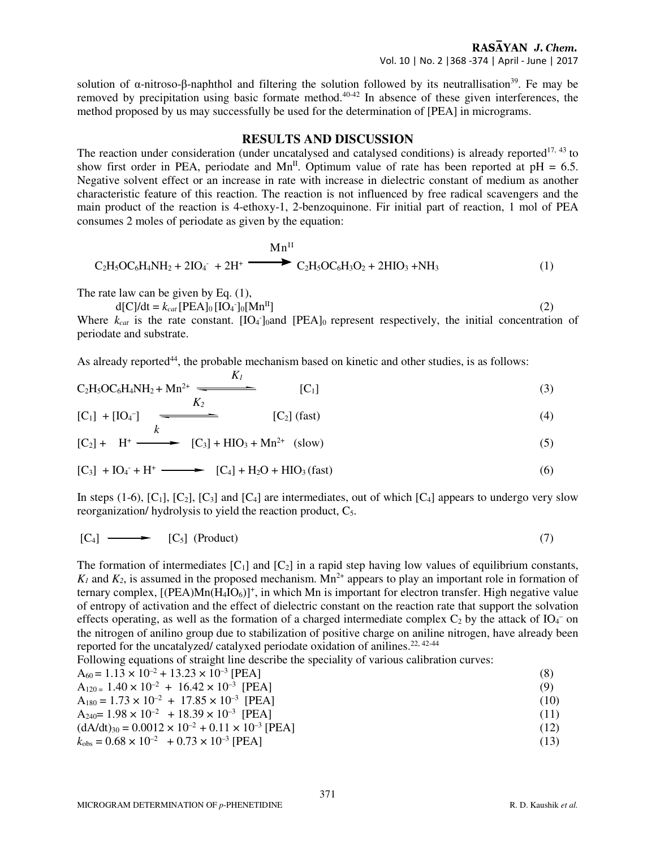solution of  $\alpha$ -nitroso-β-naphthol and filtering the solution followed by its neutrallisation<sup>39</sup>. Fe may be removed by precipitation using basic formate method.<sup>40-42</sup> In absence of these given interferences, the method proposed by us may successfully be used for the determination of [PEA] in micrograms.

#### **RESULTS AND DISCUSSION**

The reaction under consideration (under uncatalysed and catalysed conditions) is already reported<sup>17, 43</sup> to show first order in PEA, periodate and  $Mn^{\text{II}}$ . Optimum value of rate has been reported at pH = 6.5. Negative solvent effect or an increase in rate with increase in dielectric constant of medium as another characteristic feature of this reaction. The reaction is not influenced by free radical scavengers and the main product of the reaction is 4-ethoxy-1, 2-benzoquinone. Fir initial part of reaction, 1 mol of PEA consumes 2 moles of periodate as given by the equation:

$$
Mn^{II}
$$
  
C<sub>2</sub>H<sub>5</sub>OC<sub>6</sub>H<sub>4</sub>NH<sub>2</sub> + 2IO<sub>4</sub><sup>-</sup> + 2H<sup>+</sup>  

$$
Mn^{II}
$$
  
C<sub>2</sub>H<sub>5</sub>OC<sub>6</sub>H<sub>3</sub>O<sub>2</sub> + 2HIO<sub>3</sub> + NH<sub>3</sub> (1)

The rate law can be given by Eq.  $(1)$ ,

 $d[C]/dt = k_{cat} [PEA]_0 [IO_4^-]_0 [Mn^II]$  (2)

Where  $k_{cat}$  is the rate constant.  $[IO_4]_0$  and  $[PEA]_0$  represent respectively, the initial concentration of periodate and substrate.

As already reported<sup>44</sup>, the probable mechanism based on kinetic and other studies, is as follows:

$$
C_2H_5OC_6H_4NH_2 + Mn^{2+} \xrightarrow[K_2]{K_1} [C_1]
$$
 (3)

$$
[C_1] + [IO_4^-] \xrightarrow{k} [C_2] (fast)
$$
 (4)

$$
[C_2] + H^+ \longrightarrow [C_3] + HIO_3 + Mn^{2+} (slow)
$$
 (5)

$$
[C_3] + IO_4 + H^+ \longrightarrow [C_4] + H_2O + HIO_3 \text{ (fast)}
$$
 (6)

In steps (1-6),  $[C_1]$ ,  $[C_2]$ ,  $[C_3]$  and  $[C_4]$  are intermediates, out of which  $[C_4]$  appears to undergo very slow reorganization/ hydrolysis to yield the reaction product, C<sub>5</sub>.

$$
[C_4] \longrightarrow [C_5] (Product) \tag{7}
$$

The formation of intermediates  $[C_1]$  and  $[C_2]$  in a rapid step having low values of equilibrium constants,  $K_1$  and  $K_2$ , is assumed in the proposed mechanism. Mn<sup>2+</sup> appears to play an important role in formation of ternary complex,  $[(PEA)Mn(H_4IO_6)]^+$ , in which Mn is important for electron transfer. High negative value of entropy of activation and the effect of dielectric constant on the reaction rate that support the solvation effects operating, as well as the formation of a charged intermediate complex  $C_2$  by the attack of  $IO_4^-$  on the nitrogen of anilino group due to stabilization of positive charge on aniline nitrogen, have already been reported for the uncatalyzed/ catalyxed periodate oxidation of anilines.<sup>22, 42-44</sup>

Following equations of straight line describe the speciality of various calibration curves:

$$
A_{60} = 1.13 \times 10^{-2} + 13.23 \times 10^{-3} \text{ [PEA]}
$$
 (8)

$$
A_{120} = 1.40 \times 10^{-2} + 16.42 \times 10^{-3} \text{ [PEA]}
$$
 (9)

$$
A_{180} = 1.73 \times 10^{-2} + 17.85 \times 10^{-3} \text{ [PEA]}
$$
 (10)

$$
A_{240} = 1.98 \times 10^{-2} + 18.39 \times 10^{-3} \text{ [PEA]} \tag{11}
$$

 $(dA/dt)_{30} = 0.0012 \times 10^{-2} + 0.11 \times 10^{-3}$  [PEA] (12)

 $k_{\text{obs}} = 0.68 \times 10^{-2} + 0.73 \times 10^{-3}$  [PEA] (13)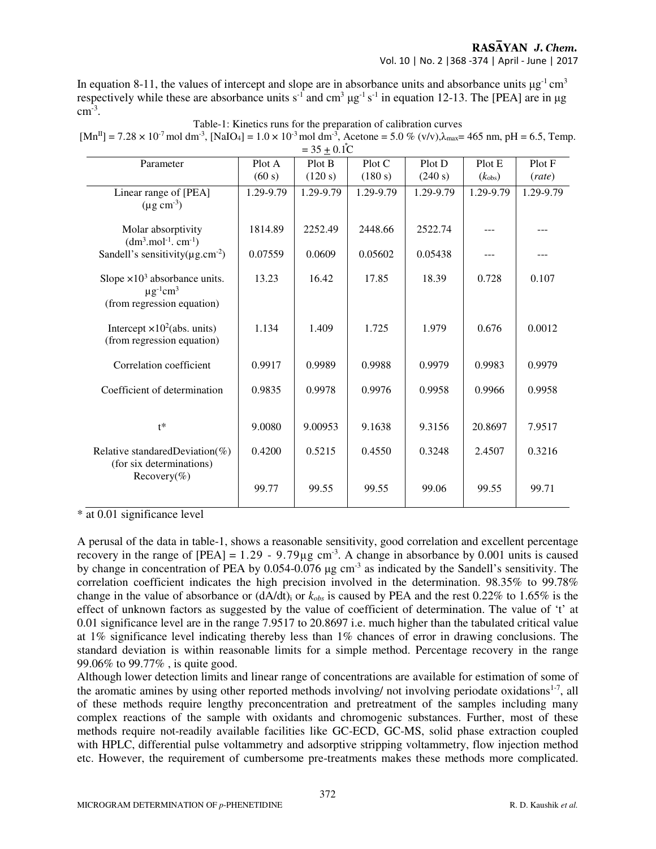# RASAYAN J. Chem.

#### Vol. 10 | No. 2 |368 -374 | April - June | 2017

In equation 8-11, the values of intercept and slope are in absorbance units and absorbance units  $\mu$ g<sup>-1</sup> cm<sup>3</sup> respectively while these are absorbance units  $s^{-1}$  and cm<sup>3</sup>  $\mu$ g<sup>-1</sup> s<sup>-1</sup> in equation 12-13. The [PEA] are in  $\mu$ g  $\text{cm}^{\text{-3}}$ .

| $= 35 \pm 0.1^{\circ}C$                                                                                      |           |           |           |           |                    |           |
|--------------------------------------------------------------------------------------------------------------|-----------|-----------|-----------|-----------|--------------------|-----------|
| Parameter                                                                                                    | Plot A    | Plot B    | Plot C    | Plot D    | Plot E             | Plot F    |
|                                                                                                              | (60 s)    | (120 s)   | (180 s)   | (240 s)   | $(k_{\text{obs}})$ | (rate)    |
| Linear range of [PEA]<br>$(\mu g \text{ cm}^{-3})$                                                           | 1.29-9.79 | 1.29-9.79 | 1.29-9.79 | 1.29-9.79 | 1.29-9.79          | 1.29-9.79 |
| Molar absorptivity<br>$(dm3.mol-1.cm-1)$                                                                     | 1814.89   | 2252.49   | 2448.66   | 2522.74   |                    |           |
| Sandell's sensitivity( $\mu$ g.cm <sup>-2</sup> )                                                            | 0.07559   | 0.0609    | 0.05602   | 0.05438   |                    |           |
| Slope $\times 10^3$ absorbance units.<br>$\mu$ g <sup>-1</sup> cm <sup>3</sup><br>(from regression equation) | 13.23     | 16.42     | 17.85     | 18.39     | 0.728              | 0.107     |
| Intercept $\times 10^2$ (abs. units)<br>(from regression equation)                                           | 1.134     | 1.409     | 1.725     | 1.979     | 0.676              | 0.0012    |
| Correlation coefficient                                                                                      | 0.9917    | 0.9989    | 0.9988    | 0.9979    | 0.9983             | 0.9979    |
| Coefficient of determination                                                                                 | 0.9835    | 0.9978    | 0.9976    | 0.9958    | 0.9966             | 0.9958    |
| $t^*$                                                                                                        | 9.0080    | 9.00953   | 9.1638    | 9.3156    | 20.8697            | 7.9517    |
| Relative standared Deviation $(\%)$<br>(for six determinations)<br>Recovery(%)                               | 0.4200    | 0.5215    | 0.4550    | 0.3248    | 2.4507             | 0.3216    |
|                                                                                                              | 99.77     | 99.55     | 99.55     | 99.06     | 99.55              | 99.71     |

Table-1: Kinetics runs for the preparation of calibration curves  $[Mn^{II}] = 7.28 \times 10^{-7}$  mol dm<sup>-3</sup>, [NaIO<sub>4</sub>] = 1.0 × 10<sup>-3</sup> mol dm<sup>-3</sup>, Acetone = 5.0 % (v/v), $\lambda_{\text{max}}$  = 465 nm, pH = 6.5, Temp.

\* at 0.01 significance level

A perusal of the data in table-1, shows a reasonable sensitivity, good correlation and excellent percentage recovery in the range of  $[PEA] = 1.29 - 9.79 \mu g$  cm<sup>-3</sup>. A change in absorbance by 0.001 units is caused by change in concentration of PEA by 0.054-0.076 µg cm-3 as indicated by the Sandell's sensitivity. The correlation coefficient indicates the high precision involved in the determination. 98.35% to 99.78% change in the value of absorbance or (dA/dt)i or *kobs* is caused by PEA and the rest 0.22% to 1.65% is the effect of unknown factors as suggested by the value of coefficient of determination. The value of 't' at 0.01 significance level are in the range 7.9517 to 20.8697 i.e. much higher than the tabulated critical value at 1% significance level indicating thereby less than 1% chances of error in drawing conclusions. The standard deviation is within reasonable limits for a simple method. Percentage recovery in the range 99.06% to 99.77% , is quite good.

Although lower detection limits and linear range of concentrations are available for estimation of some of the aromatic amines by using other reported methods involving/ not involving periodate oxidations $1-7$ , all of these methods require lengthy preconcentration and pretreatment of the samples including many complex reactions of the sample with oxidants and chromogenic substances. Further, most of these methods require not-readily available facilities like GC-ECD, GC-MS, solid phase extraction coupled with HPLC, differential pulse voltammetry and adsorptive stripping voltammetry, flow injection method etc. However, the requirement of cumbersome pre-treatments makes these methods more complicated.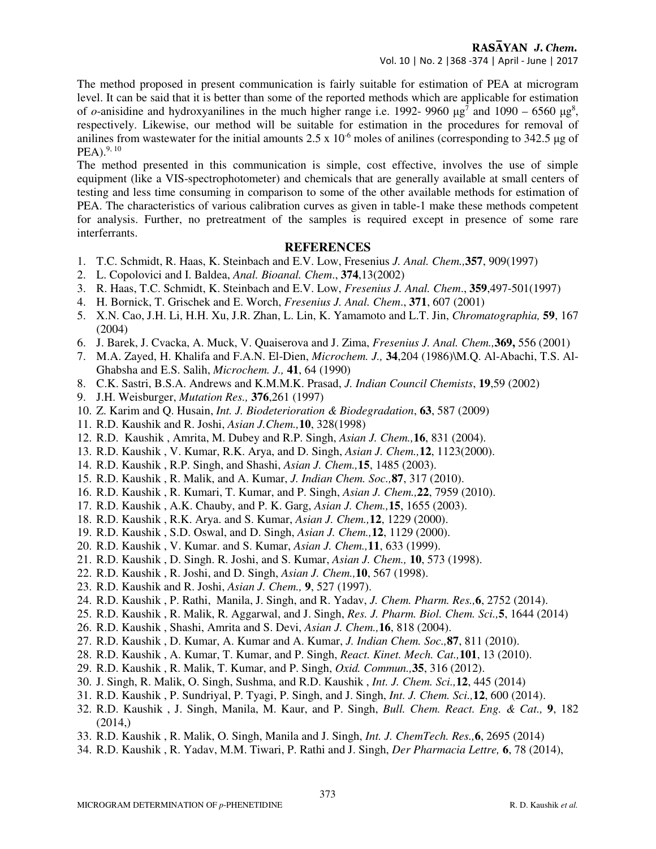The method proposed in present communication is fairly suitable for estimation of PEA at microgram level. It can be said that it is better than some of the reported methods which are applicable for estimation of *o*-anisidine and hydroxyanilines in the much higher range i.e. 1992- 9960  $\mu$ g<sup>7</sup> and 1090 – 6560  $\mu$ g<sup>8</sup>, respectively. Likewise, our method will be suitable for estimation in the procedures for removal of anilines from wastewater for the initial amounts  $2.5 \times 10^{-6}$  moles of anilines (corresponding to 342.5 µg of  $PEA$ ).<sup>9, 10</sup>

The method presented in this communication is simple, cost effective, involves the use of simple equipment (like a VIS-spectrophotometer) and chemicals that are generally available at small centers of testing and less time consuming in comparison to some of the other available methods for estimation of PEA. The characteristics of various calibration curves as given in table-1 make these methods competent for analysis. Further, no pretreatment of the samples is required except in presence of some rare interferrants.

# **REFERENCES**

- 1. T.C. Schmidt, R. Haas, K. Steinbach and E.V. Low, Fresenius *J. Anal. Chem.,***357**, 909(1997)
- 2. L. Copolovici and I. Baldea, *Anal. Bioanal. Chem*., **374**,13(2002)
- 3. R. Haas, T.C. Schmidt, K. Steinbach and E.V. Low, *Fresenius J. Anal. Chem*., **359**,497-501(1997)
- 4. H. Bornick, T. Grischek and E. Worch, *Fresenius J. Anal. Chem*., **371**, 607 (2001)
- 5. X.N. Cao, J.H. Li, H.H. Xu, J.R. Zhan, L. Lin, K. Yamamoto and L.T. Jin, *Chromatographia,* **59**, 167 (2004)
- 6. J. Barek, J. Cvacka, A. Muck, V. Quaiserova and J. Zima, *Fresenius J. Anal. Chem.,***369,** 556 (2001)
- 7. M.A. Zayed, H. Khalifa and F.A.N. El-Dien, *Microchem. J.,* **34**,204 (1986)\M.Q. Al-Abachi, T.S. Al-Ghabsha and E.S. Salih, *Microchem. J.,* **41**, 64 (1990)
- 8. C.K. Sastri, B.S.A. Andrews and K.M.M.K. Prasad, *J. Indian Council Chemists*, **19**,59 (2002)
- 9. J.H. Weisburger, *Mutation Res.,* **376**,261 (1997)
- 10. Z. Karim and Q. Husain, *Int. J. Biodeterioration & Biodegradation*, **63**, 587 (2009)
- 11. R.D. Kaushik and R. Joshi, *Asian J.Chem.,***10**, 328(1998)
- 12. R.D. Kaushik , Amrita, M. Dubey and R.P. Singh, *Asian J. Chem.,***16**, 831 (2004).
- 13. R.D. Kaushik , V. Kumar, R.K. Arya, and D. Singh, *Asian J. Chem.,***12**, 1123(2000).
- 14. R.D. Kaushik , R.P. Singh, and Shashi, *Asian J. Chem.,***15**, 1485 (2003).
- 15. R.D. Kaushik , R. Malik, and A. Kumar, *J. Indian Chem. Soc.,***87**, 317 (2010).
- 16. R.D. Kaushik , R. Kumari, T. Kumar, and P. Singh, *Asian J. Chem.,***22**, 7959 (2010).
- 17. R.D. Kaushik , A.K. Chauby, and P. K. Garg, *Asian J. Chem.,***15**, 1655 (2003).
- 18. R.D. Kaushik , R.K. Arya. and S. Kumar, *Asian J. Chem.,***12**, 1229 (2000).
- 19. R.D. Kaushik , S.D. Oswal, and D. Singh, *Asian J. Chem.,***12**, 1129 (2000).
- 20. R.D. Kaushik , V. Kumar. and S. Kumar, *Asian J. Chem.,***11**, 633 (1999).
- 21. R.D. Kaushik , D. Singh. R. Joshi, and S. Kumar, *Asian J. Chem.,* **10**, 573 (1998).
- 22. R.D. Kaushik , R. Joshi, and D. Singh, *Asian J. Chem.,***10**, 567 (1998).
- 23. R.D. Kaushik and R. Joshi, *Asian J. Chem.,* **9**, 527 (1997).
- 24. R.D. Kaushik , P. Rathi, Manila, J. Singh, and R. Yadav, *J. Chem. Pharm. Res.,***6**, 2752 (2014).
- 25. R.D. Kaushik , R. Malik, R. Aggarwal, and J. Singh, *Res. J. Pharm. Biol. Chem. Sci.,***5**, 1644 (2014)
- 26. R.D. Kaushik , Shashi, Amrita and S. Devi, *Asian J. Chem.,***16**, 818 (2004).
- 27. R.D. Kaushik , D. Kumar, A. Kumar and A. Kumar, *J. Indian Chem. Soc.,***87**, 811 (2010).
- 28. R.D. Kaushik , A. Kumar, T. Kumar, and P. Singh, *React. Kinet. Mech. Cat.,***101**, 13 (2010).
- 29. R.D. Kaushik , R. Malik, T. Kumar, and P. Singh, *Oxid. Commun.,***35**, 316 (2012).
- 30. J. Singh, R. Malik, O. Singh, Sushma, and R.D. Kaushik , *Int. J. Chem. Sci.,***12**, 445 (2014)
- 31. R.D. Kaushik , P. Sundriyal, P. Tyagi, P. Singh, and J. Singh, *Int. J. Chem. Sci.,***12**, 600 (2014).
- 32. R.D. Kaushik , J. Singh, Manila, M. Kaur, and P. Singh, *Bull. Chem. React. Eng. & Cat.,* **9**, 182  $(2014)$
- 33. R.D. Kaushik , R. Malik, O. Singh, Manila and J. Singh, *Int. J. ChemTech. Res.,***6**, 2695 (2014)
- 34. R.D. Kaushik , R. Yadav, M.M. Tiwari, P. Rathi and J. Singh, *Der Pharmacia Lettre,* **6**, 78 (2014),